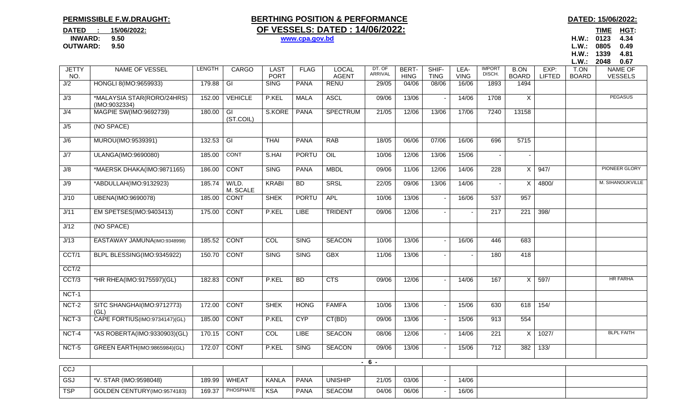## **PERMISSIBLE F.W.DRAUGHT:**

## **BERTHING POSITION & PERFORMANCE BERTHING POSITION & PERFORMANCE DATED** : 15/06/2022: **OF VESSELS: DATED : 14/06/2022:**

<u>TIME HGT:</u> **OUTWARD: 9.50 L.W.: 0805 0.49H.W.: 1339 4.81** 

|                     |                                             |               |                             |                            |              |                              |                   |                             |                      |                     |                         |                             |                       | L.W.:                | 2048<br>0.67                     |
|---------------------|---------------------------------------------|---------------|-----------------------------|----------------------------|--------------|------------------------------|-------------------|-----------------------------|----------------------|---------------------|-------------------------|-----------------------------|-----------------------|----------------------|----------------------------------|
| <b>JETTY</b><br>NO. | NAME OF VESSEL                              | <b>LENGTH</b> | CARGO                       | <b>LAST</b><br><b>PORT</b> | <b>FLAG</b>  | <b>LOCAL</b><br><b>AGENT</b> | DT. OF<br>ARRIVAL | <b>BERT-</b><br><b>HING</b> | SHIF-<br><b>TING</b> | LEA-<br><b>VING</b> | <b>IMPORT</b><br>DISCH. | <b>B.ON</b><br><b>BOARD</b> | EXP:<br><b>LIFTED</b> | T.ON<br><b>BOARD</b> | <b>NAME OF</b><br><b>VESSELS</b> |
| J/2                 | HONGLI 8(IMO:9659933)                       | 179.88        | $\overline{\mathbb{G}}$     | <b>SING</b>                | <b>PANA</b>  | <b>RENU</b>                  | 29/05             | 04/06                       | 08/06                | 16/06               | 1893                    | 1494                        |                       |                      |                                  |
| J/3                 | *MALAYSIA STAR(RORO/24HRS)<br>(IMO:9032334) | 152.00        | <b>VEHICLE</b>              | P.KEL                      | <b>MALA</b>  | <b>ASCL</b>                  | 09/06             | 13/06                       |                      | 14/06               | 1708                    | X                           |                       |                      | <b>PEGASUS</b>                   |
| J/4                 | MAGPIE SW(IMO:9692739)                      | 180.00        | $\overline{G}$<br>(ST.COIL) | S.KORE                     | <b>PANA</b>  | <b>SPECTRUM</b>              | 21/05             | 12/06                       | 13/06                | 17/06               | 7240                    | 13158                       |                       |                      |                                  |
| J/5                 | (NO SPACE)                                  |               |                             |                            |              |                              |                   |                             |                      |                     |                         |                             |                       |                      |                                  |
| J/6                 | MUROU(IMO:9539391)                          | 132.53        | $\overline{G}$              | <b>THAI</b>                | <b>PANA</b>  | <b>RAB</b>                   | 18/05             | 06/06                       | 07/06                | 16/06               | 696                     | 5715                        |                       |                      |                                  |
| J/7                 | ULANGA(IMO:9690080)                         | 185.00        | <b>CONT</b>                 | S.HAI                      | PORTU        | OIL                          | 10/06             | 12/06                       | 13/06                | 15/06               |                         |                             |                       |                      |                                  |
| J/8                 | *MAERSK DHAKA(IMO:9871165)                  | 186.00        | <b>CONT</b>                 | <b>SING</b>                | <b>PANA</b>  | <b>MBDL</b>                  | 09/06             | 11/06                       | 12/06                | 14/06               | 228                     | X                           | 947/                  |                      | PIONEER GLORY                    |
| J/9                 | *ABDULLAH(IMO:9132923)                      | 185.74        | W/LD.<br>M. SCALE           | <b>KRABI</b>               | <b>BD</b>    | <b>SRSL</b>                  | 22/05             | 09/06                       | 13/06                | 14/06               |                         | X                           | 4800/                 |                      | M. SIHANOUKVILLE                 |
| J/10                | UBENA(IMO:9690078)                          | 185.00        | <b>CONT</b>                 | <b>SHEK</b>                | <b>PORTU</b> | APL                          | 10/06             | 13/06                       |                      | 16/06               | 537                     | 957                         |                       |                      |                                  |
| J/11                | EM SPETSES(IMO:9403413)                     | 175.00        | <b>CONT</b>                 | P.KEL                      | <b>LIBE</b>  | <b>TRIDENT</b>               | 09/06             | 12/06                       |                      |                     | $\overline{217}$        | $\overline{221}$            | 398/                  |                      |                                  |
| J/12                | (NO SPACE)                                  |               |                             |                            |              |                              |                   |                             |                      |                     |                         |                             |                       |                      |                                  |
| J/13                | EASTAWAY JAMUNA(IMO:9348998)                | 185.52        | <b>CONT</b>                 | COL                        | <b>SING</b>  | <b>SEACON</b>                | 10/06             | 13/06                       |                      | 16/06               | 446                     | 683                         |                       |                      |                                  |
| CCT/1               | BLPL BLESSING(IMO:9345922)                  | 150.70        | <b>CONT</b>                 | <b>SING</b>                | SING         | <b>GBX</b>                   | 11/06             | 13/06                       |                      |                     | 180                     | 418                         |                       |                      |                                  |
| CCT/2               |                                             |               |                             |                            |              |                              |                   |                             |                      |                     |                         |                             |                       |                      |                                  |
| CCT/3               | *HR RHEA(IMO:9175597)(GL)                   | 182.83        | <b>CONT</b>                 | P.KEL                      | <b>BD</b>    | <b>CTS</b>                   | 09/06             | 12/06                       |                      | 14/06               | 167                     | X                           | 597/                  |                      | <b>HR FARHA</b>                  |
| NCT-1               |                                             |               |                             |                            |              |                              |                   |                             |                      |                     |                         |                             |                       |                      |                                  |
| NCT-2               | SITC SHANGHAI(IMO:9712773)<br>(GL)          | 172.00        | <b>CONT</b>                 | <b>SHEK</b>                | <b>HONG</b>  | FAMFA                        | 10/06             | 13/06                       |                      | 15/06               | 630                     | 618                         | 154/                  |                      |                                  |
| $NCT-3$             | CAPE FORTIUS(IMO:9734147)(GL)               | 185.00        | <b>CONT</b>                 | P.KEL                      | <b>CYP</b>   | CT(BD)                       | 09/06             | 13/06                       |                      | 15/06               | 913                     | 554                         |                       |                      |                                  |
| NCT-4               | *AS ROBERTA(IMO:9330903)(GL)                | 170.15        | <b>CONT</b>                 | COL                        | <b>LIBE</b>  | <b>SEACON</b>                | 08/06             | 12/06                       |                      | 14/06               | $\overline{221}$        | X                           | 1027/                 |                      | <b>BLPL FAITH</b>                |
| NCT-5               | <b>GREEN EARTH(IMO:9865984)(GL)</b>         | 172.07        | <b>CONT</b>                 | P.KEL                      | <b>SING</b>  | <b>SEACON</b>                | 09/06             | 13/06                       |                      | 15/06               | 712                     | 382                         | 133/                  |                      |                                  |
|                     |                                             |               |                             |                            |              |                              | $-6 -$            |                             |                      |                     |                         |                             |                       |                      |                                  |
| CCJ                 |                                             |               |                             |                            |              |                              |                   |                             |                      |                     |                         |                             |                       |                      |                                  |
| GSJ                 | *V. STAR (IMO:9598048)                      | 189.99        | <b>WHEAT</b>                | <b>KANLA</b>               | <b>PANA</b>  | <b>UNISHIP</b>               | 21/05             | 03/06                       |                      | 14/06               |                         |                             |                       |                      |                                  |
| <b>TSP</b>          | GOLDEN CENTURY(IMO:9574183)                 | 169.37        | <b>PHOSPHATE</b>            | <b>KSA</b>                 | <b>PANA</b>  | <b>SEACOM</b>                | 04/06             | 06/06                       |                      | 16/06               |                         |                             |                       |                      |                                  |

## **INWARD: 9.50 www.cpa.gov.bd H.W.: 0123 4.34**